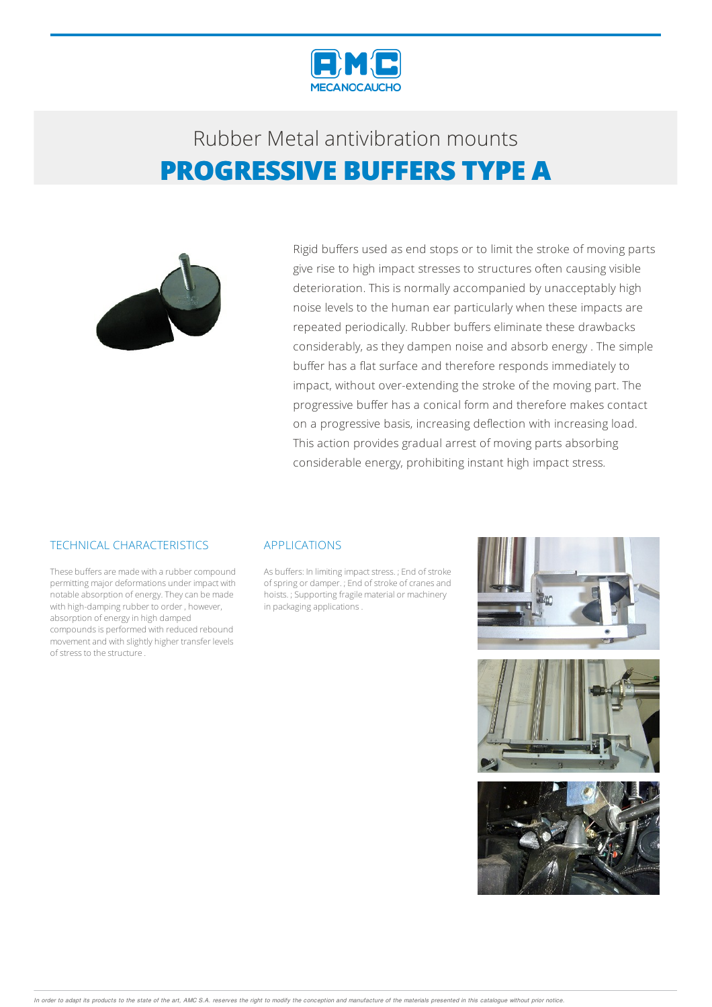



Rigid buffers used as end stops or to limit the stroke of moving parts give rise to high impact stresses to structures often causing visible deterioration. This is normally accompanied by unacceptably high noise levels to the human ear particularly when these impacts are repeated periodically. Rubber buffers eliminate these drawbacks considerably, as they dampen noise and absorb energy . The simple buffer has a flat surface and therefore responds immediately to impact, without over-extending the stroke of the moving part. The progressive buffer has a conical form and therefore makes contact on a progressive basis, increasing deflection with increasing load. This action provides gradual arrest of moving parts absorbing considerable energy, prohibiting instant high impact stress.

### TECHNICAL CHARACTERISTICS

These buffers are made with a rubber compound permitting major deformations under impact with notable absorption of energy.Theycan bemade with high-damping rubber to order, however, absorption of energy in high damped compounds is performed with reduced rebound movementand with slightly higher transfer levels of stress to the structure.

#### APPLICATIONS

As buffers: In limiting impact stress. ; End of stroke of spring or damper. ; End of stroke of cranes and hoists. ; Supporting fragile material or machinery in packaging applications.

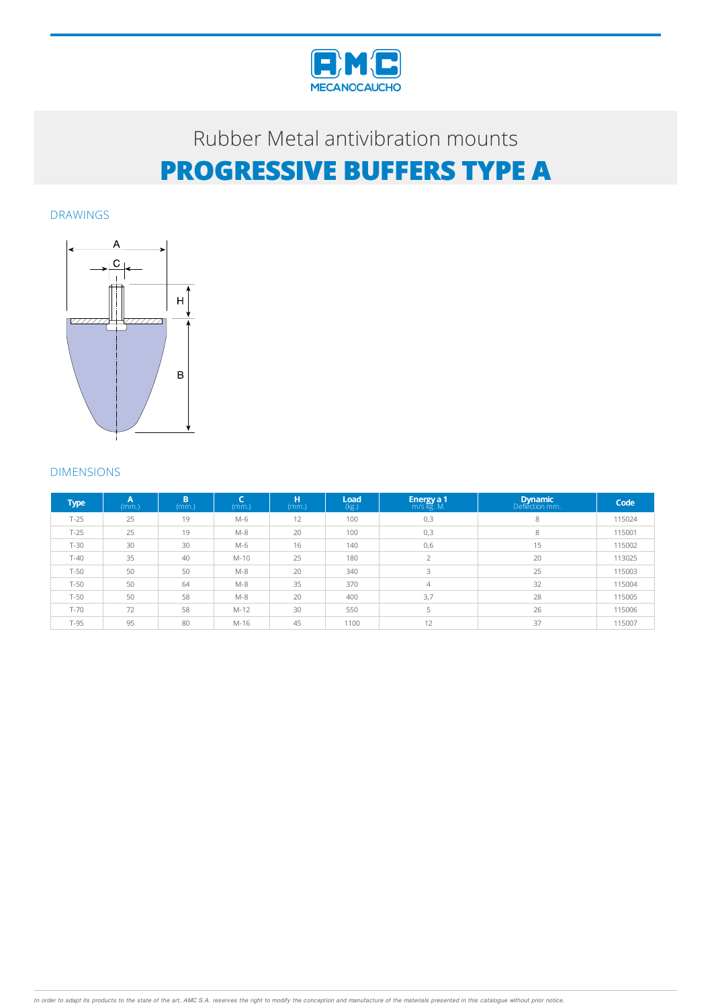

DRAWINGS



### DIMENSIONS

| <b>Type</b> | A<br>(mm.) | B<br>(mm.) | -<br>(mm.) | н<br>(mm.) | Load<br>(kg.) | <b>Energy a 1</b> m/s kg. M. | <b>Dynamic</b><br>Deflection mm. | Code   |
|-------------|------------|------------|------------|------------|---------------|------------------------------|----------------------------------|--------|
| $T-25$      | 25         | 19         | M-6        | 12         | 100           | 0,3                          | 8                                | 115024 |
| $T-25$      | 25         | 19         | $M-8$      | 20         | 100           | 0,3                          | 8                                | 115001 |
| $T-30$      | 30         | 30         | M-6        | 16         | 140           | 0,6                          | 15                               | 115002 |
| $T-40$      | 35         | 40         | $M-10$     | 25         | 180           |                              | 20                               | 113025 |
| $T-50$      | 50         | 50         | $M-8$      | 20         | 340           | $\mathbf{R}$                 | 25                               | 115003 |
| $T-50$      | 50         | 64         | $M-8$      | 35         | 370           | $\overline{4}$               | 32                               | 115004 |
| $T-50$      | 50         | 58         | $M-8$      | 20         | 400           | 3,7                          | 28                               | 115005 |
| $T-70$      | 72         | 58         | $M-12$     | 30         | 550           | 5                            | 26                               | 115006 |
| $T-95$      | 95         | 80         | M-16       | 45         | 1100          | 12                           | 37                               | 115007 |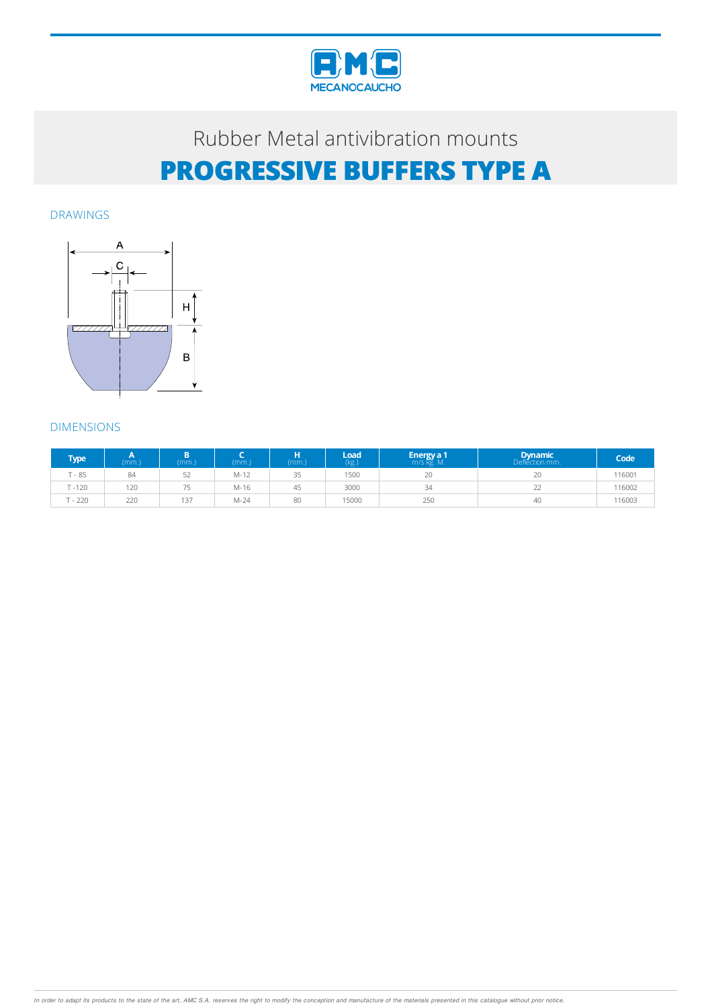

DRAWINGS



## DIMENSIONS

| <b>Type</b> | (mm.) | (mm.)     | mm.)   | н<br>(mm.) | Load<br>(kg.) | ' Energy a 1<br>m/s kg. M. | Dynamic | Code   |
|-------------|-------|-----------|--------|------------|---------------|----------------------------|---------|--------|
| $T - 85$    | 84    | $-$<br>5Z | $M-12$ | 35         | 1500          | 20                         | 20      | 116001 |
| $T - 120$   | 120   | フロ        | $M-16$ | 45         | 3000          | 34                         | 22      | 116002 |
| $T - 220$   | 220   | 137       | $M-24$ | 80         | 15000         | 250                        | 40      | 116003 |